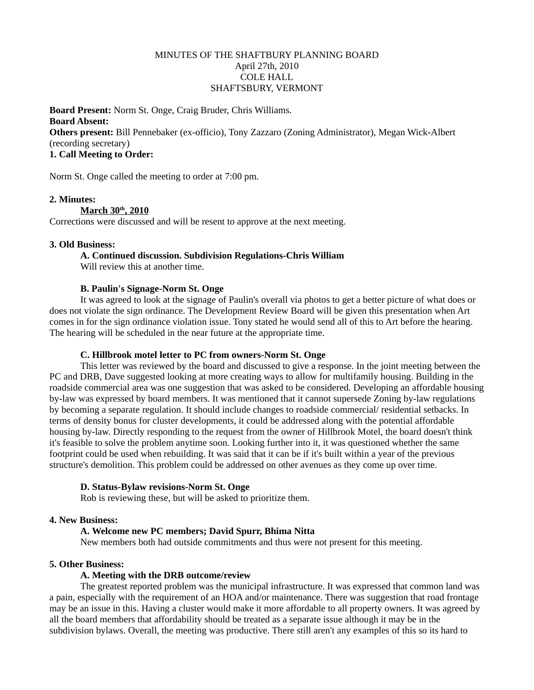# MINUTES OF THE SHAFTBURY PLANNING BOARD April 27th, 2010 COLE HALL SHAFTSBURY, VERMONT

**Board Present:** Norm St. Onge, Craig Bruder, Chris Williams. **Board Absent: Others present:** Bill Pennebaker (ex-officio), Tony Zazzaro (Zoning Administrator), Megan Wick-Albert (recording secretary) **1. Call Meeting to Order:**

# Norm St. Onge called the meeting to order at 7:00 pm.

## **2. Minutes:**

## **<u>March 30<sup>th</sup>**, 2010</u>

Corrections were discussed and will be resent to approve at the next meeting.

# **3. Old Business:**

#### **A. Continued discussion. Subdivision Regulations-Chris William**

Will review this at another time.

# **B. Paulin's Signage-Norm St. Onge**

It was agreed to look at the signage of Paulin's overall via photos to get a better picture of what does or does not violate the sign ordinance. The Development Review Board will be given this presentation when Art comes in for the sign ordinance violation issue. Tony stated he would send all of this to Art before the hearing. The hearing will be scheduled in the near future at the appropriate time.

# **C. Hillbrook motel letter to PC from owners-Norm St. Onge**

This letter was reviewed by the board and discussed to give a response. In the joint meeting between the PC and DRB, Dave suggested looking at more creating ways to allow for multifamily housing. Building in the roadside commercial area was one suggestion that was asked to be considered. Developing an affordable housing by-law was expressed by board members. It was mentioned that it cannot supersede Zoning by-law regulations by becoming a separate regulation. It should include changes to roadside commercial/ residential setbacks. In terms of density bonus for cluster developments, it could be addressed along with the potential affordable housing by-law. Directly responding to the request from the owner of Hillbrook Motel, the board doesn't think it's feasible to solve the problem anytime soon. Looking further into it, it was questioned whether the same footprint could be used when rebuilding. It was said that it can be if it's built within a year of the previous structure's demolition. This problem could be addressed on other avenues as they come up over time.

#### **D. Status-Bylaw revisions-Norm St. Onge**

Rob is reviewing these, but will be asked to prioritize them.

## **4. New Business:**

# **A. Welcome new PC members; David Spurr, Bhima Nitta**

New members both had outside commitments and thus were not present for this meeting.

#### **5. Other Business:**

# **A. Meeting with the DRB outcome/review**

The greatest reported problem was the municipal infrastructure. It was expressed that common land was a pain, especially with the requirement of an HOA and/or maintenance. There was suggestion that road frontage may be an issue in this. Having a cluster would make it more affordable to all property owners. It was agreed by all the board members that affordability should be treated as a separate issue although it may be in the subdivision bylaws. Overall, the meeting was productive. There still aren't any examples of this so its hard to